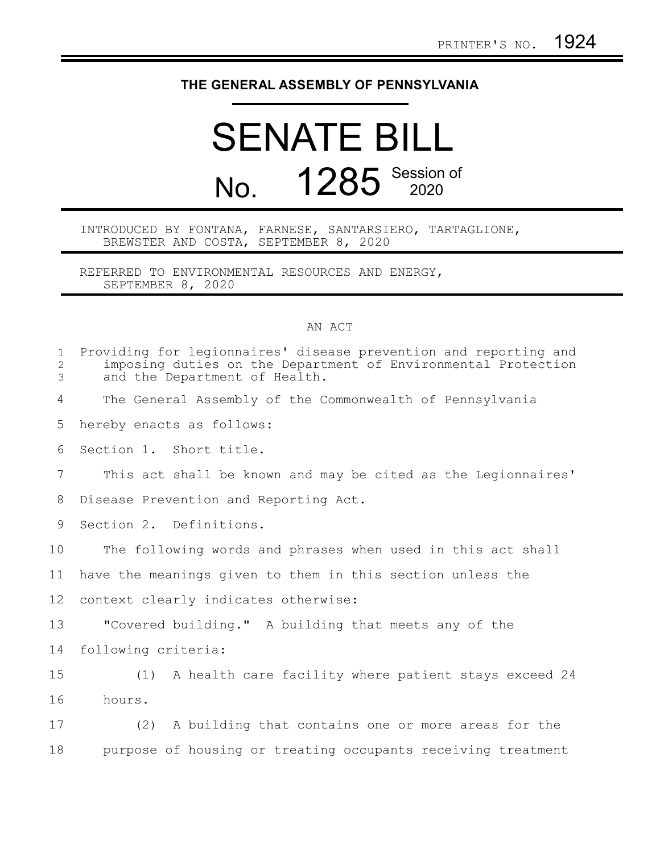## **THE GENERAL ASSEMBLY OF PENNSYLVANIA**

## SENATE BILL No. 1285 Session of

## INTRODUCED BY FONTANA, FARNESE, SANTARSIERO, TARTAGLIONE, BREWSTER AND COSTA, SEPTEMBER 8, 2020

REFERRED TO ENVIRONMENTAL RESOURCES AND ENERGY, SEPTEMBER 8, 2020

## AN ACT

| $\mathbf{1}$<br>2<br>3 | Providing for legionnaires' disease prevention and reporting and<br>imposing duties on the Department of Environmental Protection<br>and the Department of Health. |
|------------------------|--------------------------------------------------------------------------------------------------------------------------------------------------------------------|
| 4                      | The General Assembly of the Commonwealth of Pennsylvania                                                                                                           |
| 5                      | hereby enacts as follows:                                                                                                                                          |
| 6                      | Section 1. Short title.                                                                                                                                            |
| 7                      | This act shall be known and may be cited as the Legionnaires'                                                                                                      |
| 8                      | Disease Prevention and Reporting Act.                                                                                                                              |
| 9                      | Section 2. Definitions.                                                                                                                                            |
| 10                     | The following words and phrases when used in this act shall                                                                                                        |
| 11                     | have the meanings given to them in this section unless the                                                                                                         |
| 12                     | context clearly indicates otherwise:                                                                                                                               |
| 13                     | "Covered building." A building that meets any of the                                                                                                               |
| 14                     | following criteria:                                                                                                                                                |
| 15                     | (1) A health care facility where patient stays exceed 24                                                                                                           |
| 16                     | hours.                                                                                                                                                             |
| 17                     | (2) A building that contains one or more areas for the                                                                                                             |
| 18                     | purpose of housing or treating occupants receiving treatment                                                                                                       |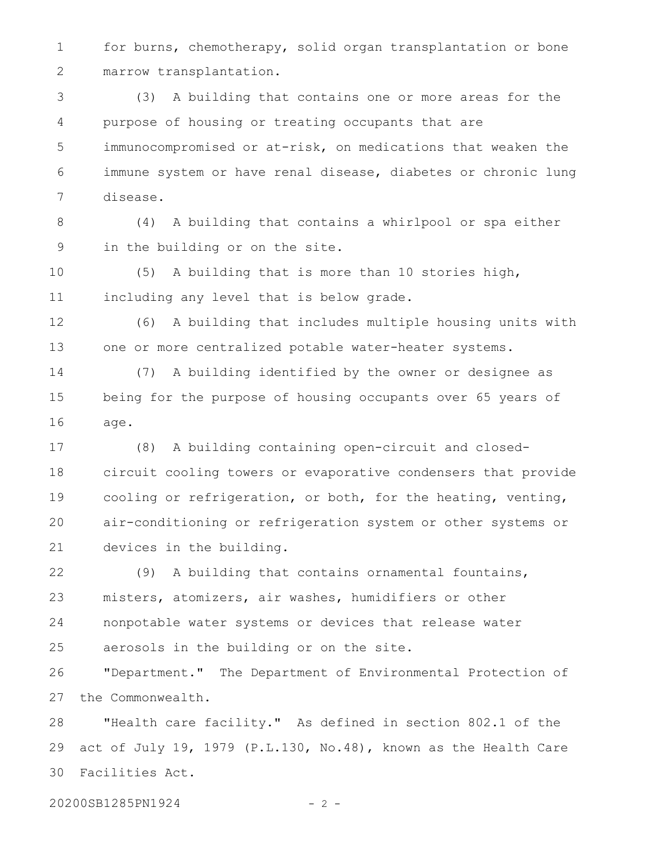for burns, chemotherapy, solid organ transplantation or bone marrow transplantation. 1 2

(3) A building that contains one or more areas for the purpose of housing or treating occupants that are immunocompromised or at-risk, on medications that weaken the immune system or have renal disease, diabetes or chronic lung disease. 3 4 5 6 7

(4) A building that contains a whirlpool or spa either in the building or on the site. 8 9

(5) A building that is more than 10 stories high, including any level that is below grade. 10 11

(6) A building that includes multiple housing units with one or more centralized potable water-heater systems. 12 13

(7) A building identified by the owner or designee as being for the purpose of housing occupants over 65 years of age. 14 15 16

(8) A building containing open-circuit and closedcircuit cooling towers or evaporative condensers that provide cooling or refrigeration, or both, for the heating, venting, air-conditioning or refrigeration system or other systems or devices in the building. 17 18 19 20 21

(9) A building that contains ornamental fountains, misters, atomizers, air washes, humidifiers or other nonpotable water systems or devices that release water aerosols in the building or on the site. 22 23 24 25

"Department." The Department of Environmental Protection of the Commonwealth. 26 27

"Health care facility." As defined in section 802.1 of the act of July 19, 1979 (P.L.130, No.48), known as the Health Care Facilities Act. 28 29 30

20200SB1285PN1924 - 2 -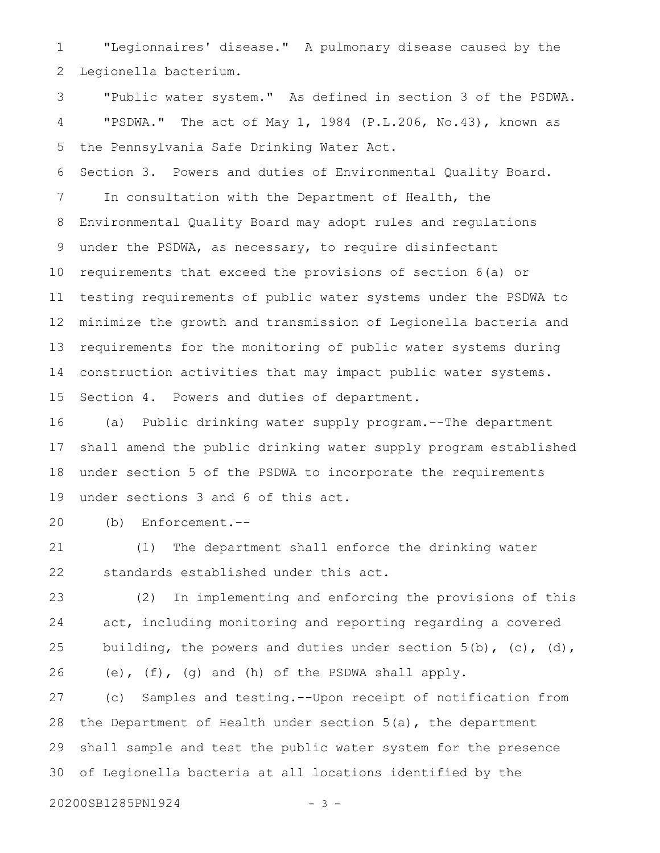"Legionnaires' disease." A pulmonary disease caused by the Legionella bacterium. 1 2

"Public water system." As defined in section 3 of the PSDWA. "PSDWA." The act of May 1, 1984 (P.L.206, No.43), known as the Pennsylvania Safe Drinking Water Act. 3 4 5

Section 3. Powers and duties of Environmental Quality Board. In consultation with the Department of Health, the Environmental Quality Board may adopt rules and regulations under the PSDWA, as necessary, to require disinfectant requirements that exceed the provisions of section 6(a) or testing requirements of public water systems under the PSDWA to minimize the growth and transmission of Legionella bacteria and requirements for the monitoring of public water systems during construction activities that may impact public water systems. Section 4. Powers and duties of department. 6 7 8 9 10 11 12 13 14 15

(a) Public drinking water supply program.--The department shall amend the public drinking water supply program established under section 5 of the PSDWA to incorporate the requirements under sections 3 and 6 of this act. 16 17 18 19

(b) Enforcement.-- 20

(1) The department shall enforce the drinking water standards established under this act. 21 22

(2) In implementing and enforcing the provisions of this act, including monitoring and reporting regarding a covered building, the powers and duties under section  $5(b)$ , (c), (d), (e), (f), (g) and (h) of the PSDWA shall apply. 23 24 25 26

(c) Samples and testing.--Upon receipt of notification from the Department of Health under section 5(a), the department shall sample and test the public water system for the presence of Legionella bacteria at all locations identified by the 27 28 29 30

20200SB1285PN1924 - 3 -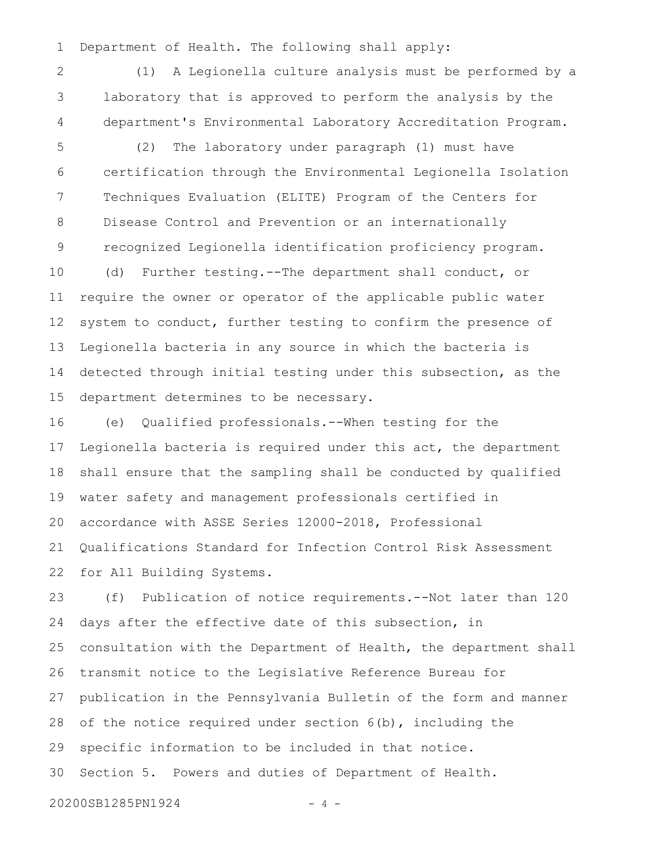Department of Health. The following shall apply: 1

(1) A Legionella culture analysis must be performed by a laboratory that is approved to perform the analysis by the department's Environmental Laboratory Accreditation Program. 2 3 4

(2) The laboratory under paragraph (1) must have certification through the Environmental Legionella Isolation Techniques Evaluation (ELITE) Program of the Centers for Disease Control and Prevention or an internationally recognized Legionella identification proficiency program. (d) Further testing.--The department shall conduct, or require the owner or operator of the applicable public water system to conduct, further testing to confirm the presence of 5 6 7 8 9 10 11 12

Legionella bacteria in any source in which the bacteria is detected through initial testing under this subsection, as the department determines to be necessary. 13 14 15

(e) Qualified professionals.--When testing for the Legionella bacteria is required under this act, the department shall ensure that the sampling shall be conducted by qualified water safety and management professionals certified in accordance with ASSE Series 12000-2018, Professional Qualifications Standard for Infection Control Risk Assessment for All Building Systems. 16 17 18 19 20 21 22

(f) Publication of notice requirements.--Not later than 120 days after the effective date of this subsection, in consultation with the Department of Health, the department shall transmit notice to the Legislative Reference Bureau for publication in the Pennsylvania Bulletin of the form and manner of the notice required under section 6(b), including the specific information to be included in that notice. Section 5. Powers and duties of Department of Health. 23 24 25 26 27 28 29 30

20200SB1285PN1924 - 4 -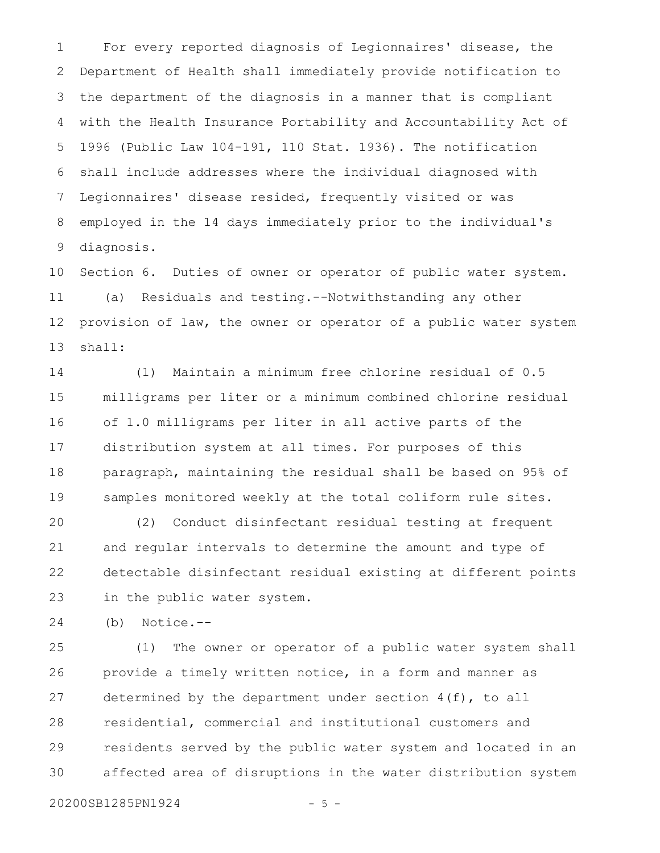For every reported diagnosis of Legionnaires' disease, the Department of Health shall immediately provide notification to the department of the diagnosis in a manner that is compliant with the Health Insurance Portability and Accountability Act of 1996 (Public Law 104-191, 110 Stat. 1936). The notification shall include addresses where the individual diagnosed with Legionnaires' disease resided, frequently visited or was employed in the 14 days immediately prior to the individual's diagnosis. 1 2 3 4 5 6 7 8 9

Section 6. Duties of owner or operator of public water system. (a) Residuals and testing.--Notwithstanding any other provision of law, the owner or operator of a public water system shall: 10 11 12 13

(1) Maintain a minimum free chlorine residual of 0.5 milligrams per liter or a minimum combined chlorine residual of 1.0 milligrams per liter in all active parts of the distribution system at all times. For purposes of this paragraph, maintaining the residual shall be based on 95% of samples monitored weekly at the total coliform rule sites. 14 15 16 17 18 19

(2) Conduct disinfectant residual testing at frequent and regular intervals to determine the amount and type of detectable disinfectant residual existing at different points in the public water system. 20 21 22 23

(b) Notice.-- 24

(1) The owner or operator of a public water system shall provide a timely written notice, in a form and manner as determined by the department under section 4(f), to all residential, commercial and institutional customers and residents served by the public water system and located in an affected area of disruptions in the water distribution system 25 26 27 28 29 30

20200SB1285PN1924 - 5 -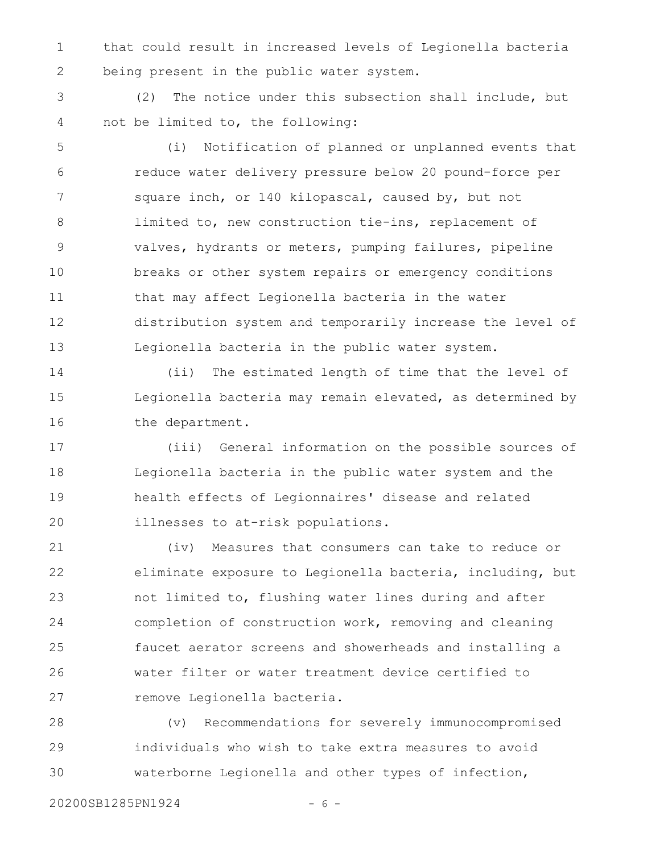that could result in increased levels of Legionella bacteria being present in the public water system. 1 2

(2) The notice under this subsection shall include, but not be limited to, the following: 3 4

(i) Notification of planned or unplanned events that reduce water delivery pressure below 20 pound-force per square inch, or 140 kilopascal, caused by, but not limited to, new construction tie-ins, replacement of valves, hydrants or meters, pumping failures, pipeline breaks or other system repairs or emergency conditions that may affect Legionella bacteria in the water distribution system and temporarily increase the level of Legionella bacteria in the public water system. 5 6 7 8 9 10 11 12 13

(ii) The estimated length of time that the level of Legionella bacteria may remain elevated, as determined by the department. 14 15 16

(iii) General information on the possible sources of Legionella bacteria in the public water system and the health effects of Legionnaires' disease and related illnesses to at-risk populations. 17 18 19 20

(iv) Measures that consumers can take to reduce or eliminate exposure to Legionella bacteria, including, but not limited to, flushing water lines during and after completion of construction work, removing and cleaning faucet aerator screens and showerheads and installing a water filter or water treatment device certified to remove Legionella bacteria. 21 22 23 24 25 26 27

(v) Recommendations for severely immunocompromised individuals who wish to take extra measures to avoid waterborne Legionella and other types of infection, 28 29 30

20200SB1285PN1924 - 6 -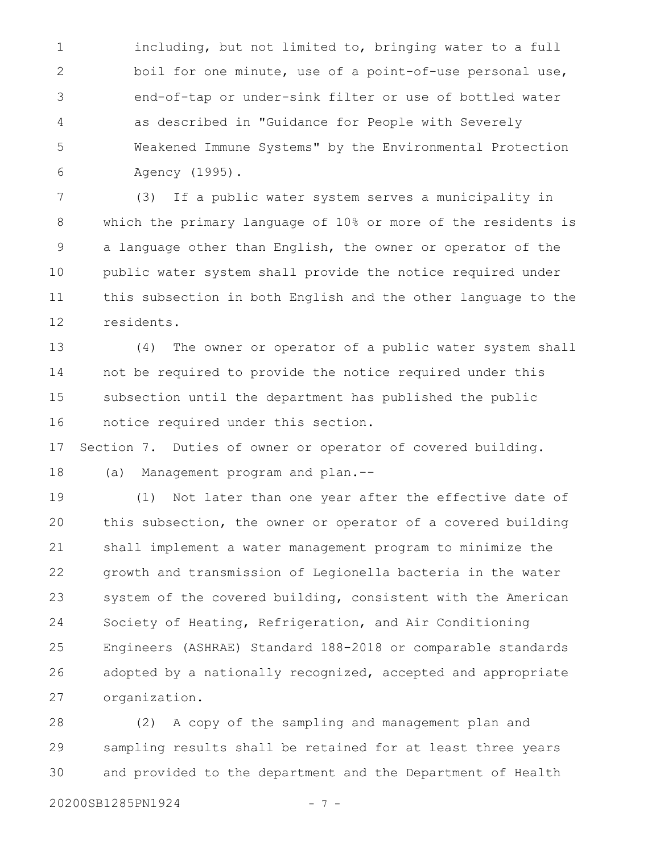including, but not limited to, bringing water to a full boil for one minute, use of a point-of-use personal use, end-of-tap or under-sink filter or use of bottled water as described in "Guidance for People with Severely Weakened Immune Systems" by the Environmental Protection Agency (1995). 1 2 3 4 5 6

(3) If a public water system serves a municipality in which the primary language of 10% or more of the residents is a language other than English, the owner or operator of the public water system shall provide the notice required under this subsection in both English and the other language to the residents. 7 8 9 10 11 12

(4) The owner or operator of a public water system shall not be required to provide the notice required under this subsection until the department has published the public notice required under this section. 13 14 15 16

Section 7. Duties of owner or operator of covered building. 17

(a) Management program and plan.-- 18

(1) Not later than one year after the effective date of this subsection, the owner or operator of a covered building shall implement a water management program to minimize the growth and transmission of Legionella bacteria in the water system of the covered building, consistent with the American Society of Heating, Refrigeration, and Air Conditioning Engineers (ASHRAE) Standard 188-2018 or comparable standards adopted by a nationally recognized, accepted and appropriate organization. 19 20 21 22 23 24 25 26 27

(2) A copy of the sampling and management plan and sampling results shall be retained for at least three years and provided to the department and the Department of Health 28 29 30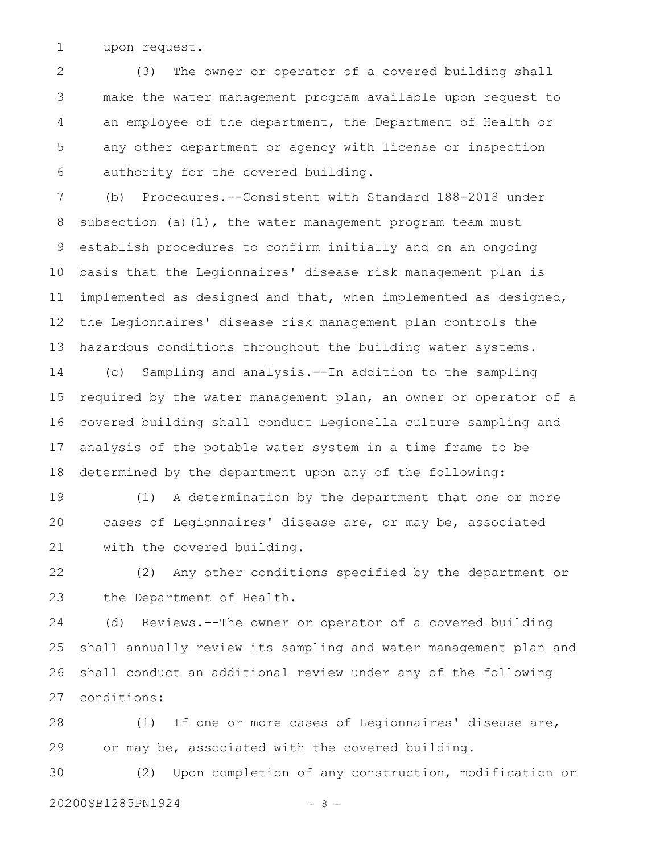upon request. 1

(3) The owner or operator of a covered building shall make the water management program available upon request to an employee of the department, the Department of Health or any other department or agency with license or inspection authority for the covered building. 2 3 4 5 6

(b) Procedures.--Consistent with Standard 188-2018 under subsection (a)(1), the water management program team must establish procedures to confirm initially and on an ongoing basis that the Legionnaires' disease risk management plan is implemented as designed and that, when implemented as designed, the Legionnaires' disease risk management plan controls the hazardous conditions throughout the building water systems. 7 8 9 10 11 12 13

(c) Sampling and analysis.--In addition to the sampling required by the water management plan, an owner or operator of a covered building shall conduct Legionella culture sampling and analysis of the potable water system in a time frame to be determined by the department upon any of the following: 14 15 16 17 18

(1) A determination by the department that one or more cases of Legionnaires' disease are, or may be, associated with the covered building. 19 20 21

(2) Any other conditions specified by the department or the Department of Health. 22 23

(d) Reviews.--The owner or operator of a covered building shall annually review its sampling and water management plan and shall conduct an additional review under any of the following conditions: 24 25 26 27

(1) If one or more cases of Legionnaires' disease are, or may be, associated with the covered building. 28 29

(2) Upon completion of any construction, modification or 20200SB1285PN1924 - 8 -30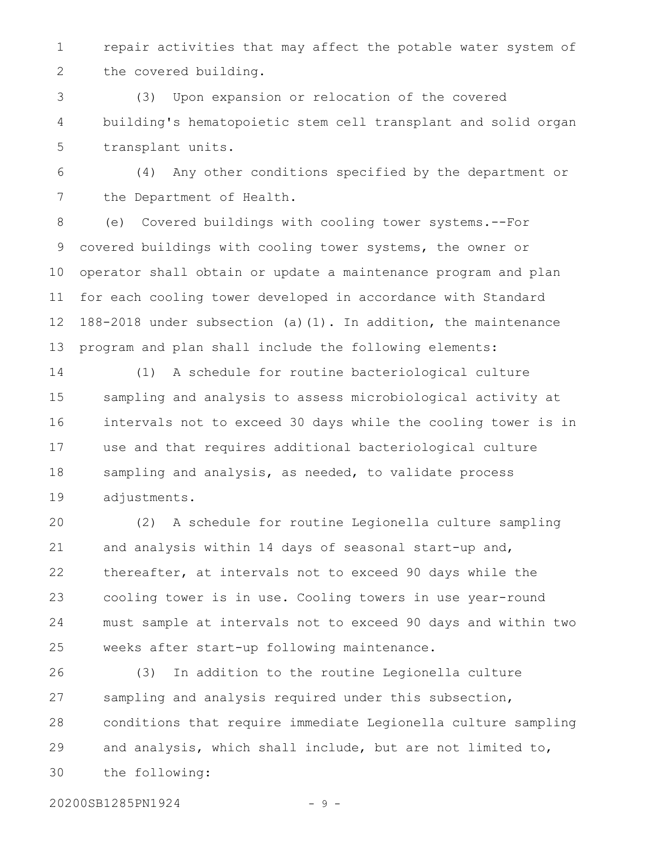repair activities that may affect the potable water system of the covered building. 1 2

(3) Upon expansion or relocation of the covered building's hematopoietic stem cell transplant and solid organ transplant units. 3 4 5

(4) Any other conditions specified by the department or the Department of Health. 6 7

(e) Covered buildings with cooling tower systems.--For covered buildings with cooling tower systems, the owner or operator shall obtain or update a maintenance program and plan for each cooling tower developed in accordance with Standard 188-2018 under subsection (a)(1). In addition, the maintenance program and plan shall include the following elements: 8 9 10 11 12 13

(1) A schedule for routine bacteriological culture sampling and analysis to assess microbiological activity at intervals not to exceed 30 days while the cooling tower is in use and that requires additional bacteriological culture sampling and analysis, as needed, to validate process adjustments. 14 15 16 17 18 19

(2) A schedule for routine Legionella culture sampling and analysis within 14 days of seasonal start-up and, thereafter, at intervals not to exceed 90 days while the cooling tower is in use. Cooling towers in use year-round must sample at intervals not to exceed 90 days and within two weeks after start-up following maintenance. 20 21 22 23 24 25

(3) In addition to the routine Legionella culture sampling and analysis required under this subsection, conditions that require immediate Legionella culture sampling and analysis, which shall include, but are not limited to, the following: 26 27 28 29 30

20200SB1285PN1924 - 9 -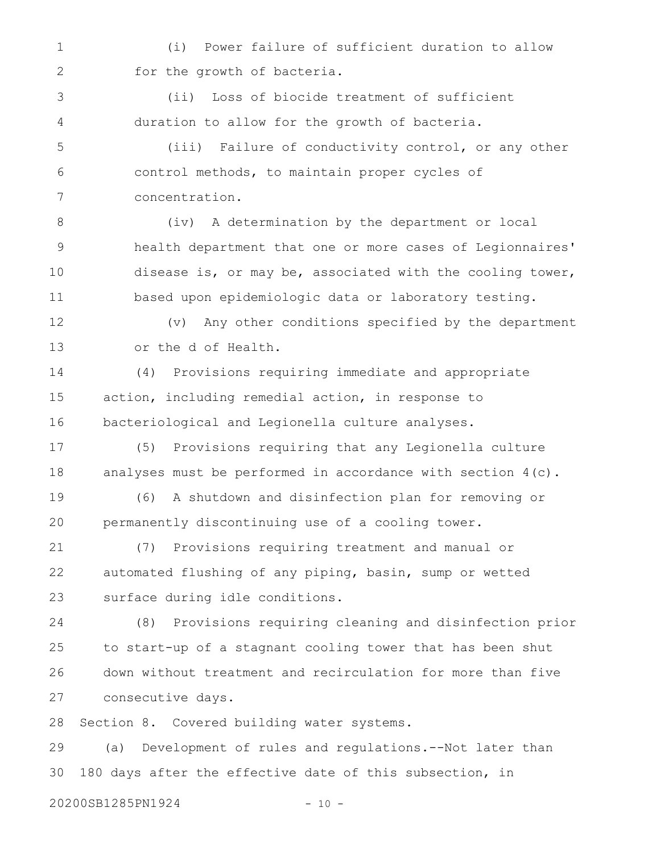(i) Power failure of sufficient duration to allow for the growth of bacteria. 1 2

(ii) Loss of biocide treatment of sufficient duration to allow for the growth of bacteria. 3 4

(iii) Failure of conductivity control, or any other control methods, to maintain proper cycles of concentration. 5 6 7

(iv) A determination by the department or local health department that one or more cases of Legionnaires' disease is, or may be, associated with the cooling tower, based upon epidemiologic data or laboratory testing. 8 9 10 11

(v) Any other conditions specified by the department or the d of Health. 12 13

(4) Provisions requiring immediate and appropriate action, including remedial action, in response to bacteriological and Legionella culture analyses. 14 15 16

(5) Provisions requiring that any Legionella culture analyses must be performed in accordance with section 4(c). 17 18

(6) A shutdown and disinfection plan for removing or permanently discontinuing use of a cooling tower. 19 20

(7) Provisions requiring treatment and manual or automated flushing of any piping, basin, sump or wetted surface during idle conditions. 21 22 23

(8) Provisions requiring cleaning and disinfection prior to start-up of a stagnant cooling tower that has been shut down without treatment and recirculation for more than five consecutive days. 24 25 26 27

Section 8. Covered building water systems. 28

(a) Development of rules and regulations.--Not later than 180 days after the effective date of this subsection, in 29 30

20200SB1285PN1924 - 10 -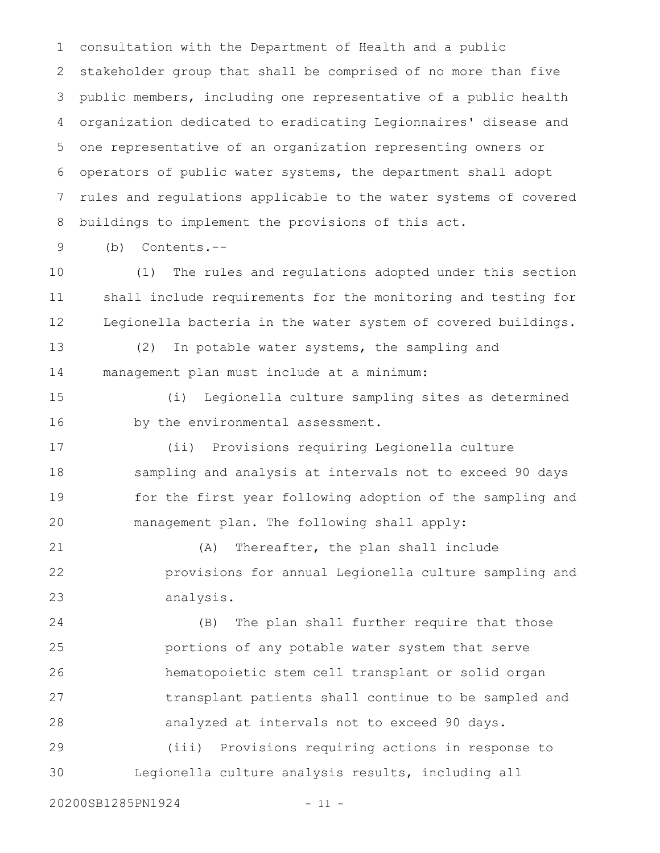consultation with the Department of Health and a public stakeholder group that shall be comprised of no more than five public members, including one representative of a public health organization dedicated to eradicating Legionnaires' disease and one representative of an organization representing owners or operators of public water systems, the department shall adopt rules and regulations applicable to the water systems of covered buildings to implement the provisions of this act. 1 2 3 4 5 6 7 8

(b) Contents.--

9

(1) The rules and regulations adopted under this section shall include requirements for the monitoring and testing for Legionella bacteria in the water system of covered buildings. 10 11 12

(2) In potable water systems, the sampling and management plan must include at a minimum: 13 14

(i) Legionella culture sampling sites as determined by the environmental assessment. 15 16

(ii) Provisions requiring Legionella culture sampling and analysis at intervals not to exceed 90 days for the first year following adoption of the sampling and management plan. The following shall apply: 17 18 19 20

(A) Thereafter, the plan shall include provisions for annual Legionella culture sampling and analysis. 21 22 23

(B) The plan shall further require that those portions of any potable water system that serve hematopoietic stem cell transplant or solid organ transplant patients shall continue to be sampled and analyzed at intervals not to exceed 90 days. 24 25 26 27 28

(iii) Provisions requiring actions in response to Legionella culture analysis results, including all 29 30

20200SB1285PN1924 - 11 -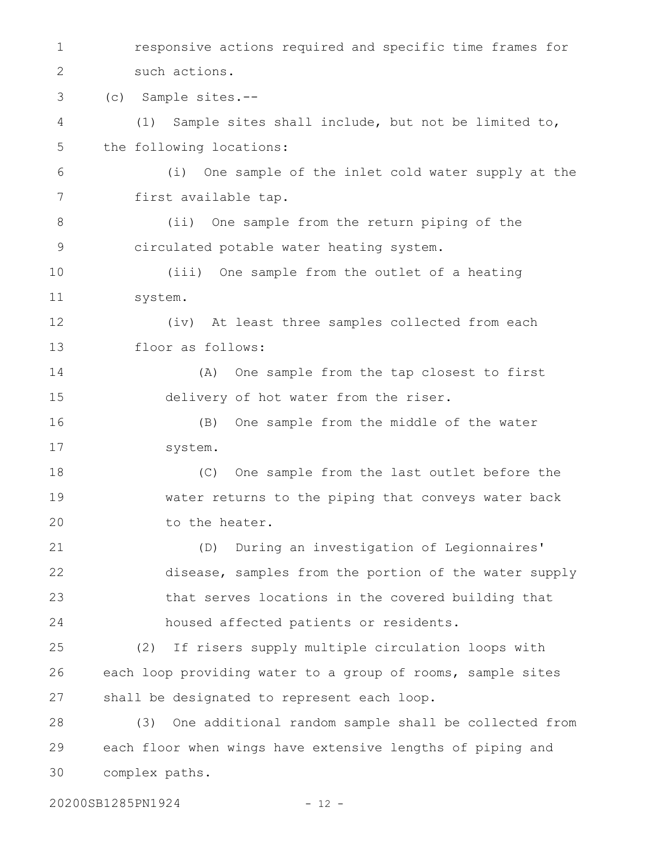responsive actions required and specific time frames for such actions. (c) Sample sites.-- (1) Sample sites shall include, but not be limited to, the following locations: (i) One sample of the inlet cold water supply at the first available tap. (ii) One sample from the return piping of the circulated potable water heating system. (iii) One sample from the outlet of a heating system. (iv) At least three samples collected from each floor as follows: (A) One sample from the tap closest to first delivery of hot water from the riser. (B) One sample from the middle of the water system. (C) One sample from the last outlet before the water returns to the piping that conveys water back to the heater. (D) During an investigation of Legionnaires' disease, samples from the portion of the water supply that serves locations in the covered building that housed affected patients or residents. (2) If risers supply multiple circulation loops with each loop providing water to a group of rooms, sample sites shall be designated to represent each loop. (3) One additional random sample shall be collected from each floor when wings have extensive lengths of piping and complex paths. 1 2 3 4 5 6 7 8 9 10 11 12 13 14 15 16 17 18 19 20 21 22 23 24 25 26 27 28 29 30

20200SB1285PN1924 - 12 -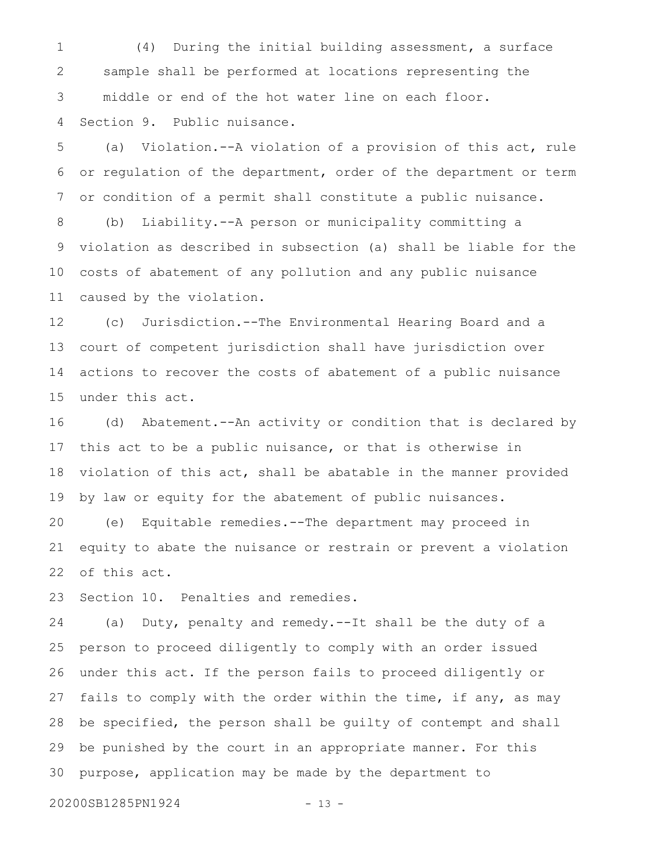(4) During the initial building assessment, a surface sample shall be performed at locations representing the middle or end of the hot water line on each floor. Section 9. Public nuisance. 1 2 3 4

(a) Violation.--A violation of a provision of this act, rule or regulation of the department, order of the department or term or condition of a permit shall constitute a public nuisance. 5 6 7

(b) Liability.--A person or municipality committing a violation as described in subsection (a) shall be liable for the costs of abatement of any pollution and any public nuisance caused by the violation. 8 9 10 11

(c) Jurisdiction.--The Environmental Hearing Board and a court of competent jurisdiction shall have jurisdiction over actions to recover the costs of abatement of a public nuisance under this act. 12 13 14 15

(d) Abatement.--An activity or condition that is declared by this act to be a public nuisance, or that is otherwise in violation of this act, shall be abatable in the manner provided by law or equity for the abatement of public nuisances. 16 17 18 19

(e) Equitable remedies.--The department may proceed in equity to abate the nuisance or restrain or prevent a violation of this act. 20 21 22

Section 10. Penalties and remedies. 23

(a) Duty, penalty and remedy.--It shall be the duty of a person to proceed diligently to comply with an order issued under this act. If the person fails to proceed diligently or fails to comply with the order within the time, if any, as may be specified, the person shall be guilty of contempt and shall be punished by the court in an appropriate manner. For this purpose, application may be made by the department to 24 25 26 27 28 29 30

20200SB1285PN1924 - 13 -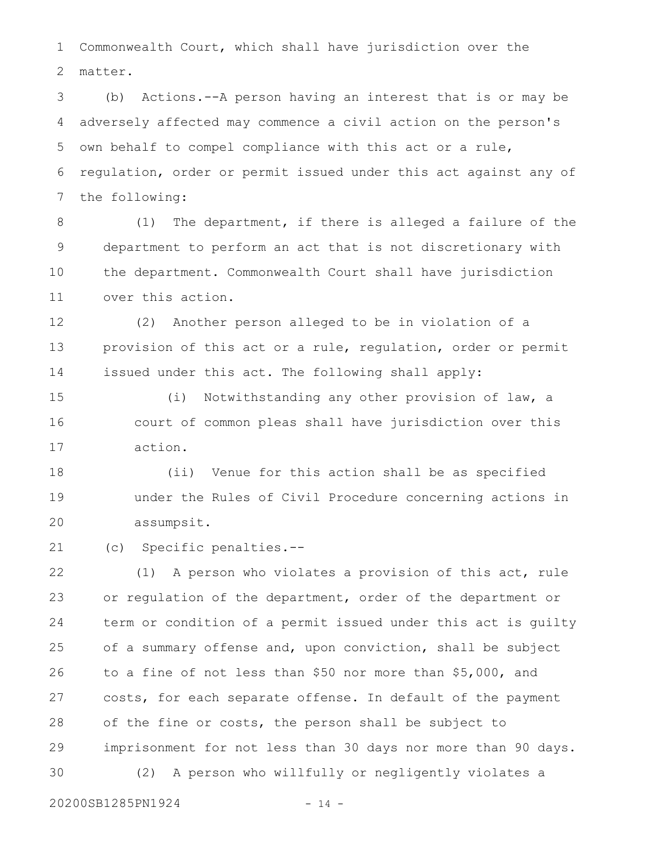Commonwealth Court, which shall have jurisdiction over the matter. 1 2

(b) Actions.--A person having an interest that is or may be adversely affected may commence a civil action on the person's own behalf to compel compliance with this act or a rule, regulation, order or permit issued under this act against any of the following: 3 4 5 6 7

(1) The department, if there is alleged a failure of the department to perform an act that is not discretionary with the department. Commonwealth Court shall have jurisdiction over this action. 8 9 10 11

(2) Another person alleged to be in violation of a provision of this act or a rule, regulation, order or permit issued under this act. The following shall apply: 12 13 14

(i) Notwithstanding any other provision of law, a court of common pleas shall have jurisdiction over this action. 15 16 17

(ii) Venue for this action shall be as specified under the Rules of Civil Procedure concerning actions in assumpsit. 18 19 20

(c) Specific penalties.-- 21

(1) A person who violates a provision of this act, rule or regulation of the department, order of the department or term or condition of a permit issued under this act is guilty of a summary offense and, upon conviction, shall be subject to a fine of not less than \$50 nor more than \$5,000, and costs, for each separate offense. In default of the payment of the fine or costs, the person shall be subject to imprisonment for not less than 30 days nor more than 90 days. (2) A person who willfully or negligently violates a 22 23 24 25 26 27 28 29 30

20200SB1285PN1924 - 14 -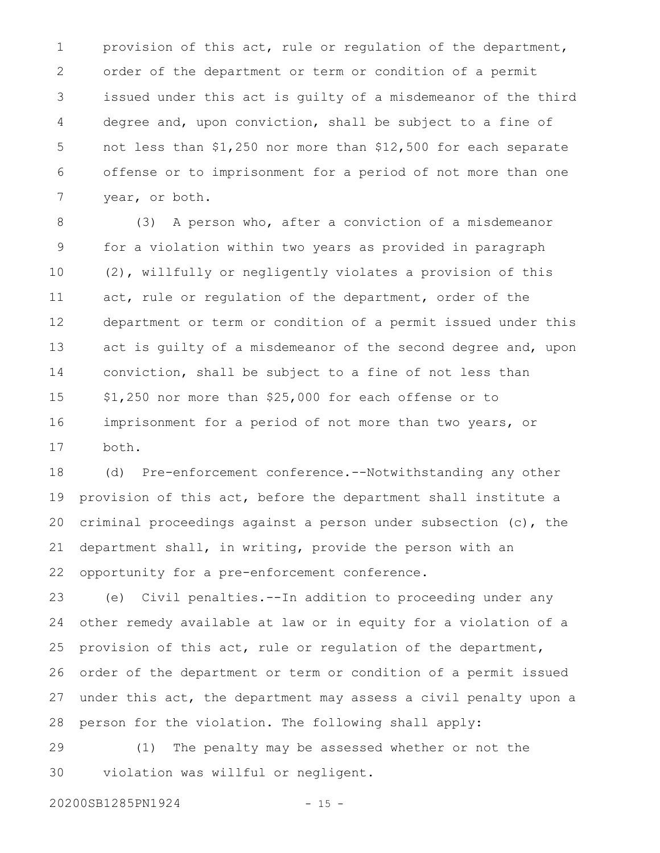provision of this act, rule or regulation of the department, order of the department or term or condition of a permit issued under this act is guilty of a misdemeanor of the third degree and, upon conviction, shall be subject to a fine of not less than \$1,250 nor more than \$12,500 for each separate offense or to imprisonment for a period of not more than one year, or both. 1 2 3 4 5 6 7

(3) A person who, after a conviction of a misdemeanor for a violation within two years as provided in paragraph (2), willfully or negligently violates a provision of this act, rule or regulation of the department, order of the department or term or condition of a permit issued under this act is guilty of a misdemeanor of the second degree and, upon conviction, shall be subject to a fine of not less than \$1,250 nor more than \$25,000 for each offense or to imprisonment for a period of not more than two years, or both. 8 9 10 11 12 13 14 15 16 17

(d) Pre-enforcement conference.--Notwithstanding any other provision of this act, before the department shall institute a criminal proceedings against a person under subsection (c), the department shall, in writing, provide the person with an opportunity for a pre-enforcement conference. 18 19 20 21 22

(e) Civil penalties.--In addition to proceeding under any other remedy available at law or in equity for a violation of a provision of this act, rule or regulation of the department, order of the department or term or condition of a permit issued under this act, the department may assess a civil penalty upon a person for the violation. The following shall apply: 23 24 25 26 27 28

(1) The penalty may be assessed whether or not the violation was willful or negligent. 29 30

20200SB1285PN1924 - 15 -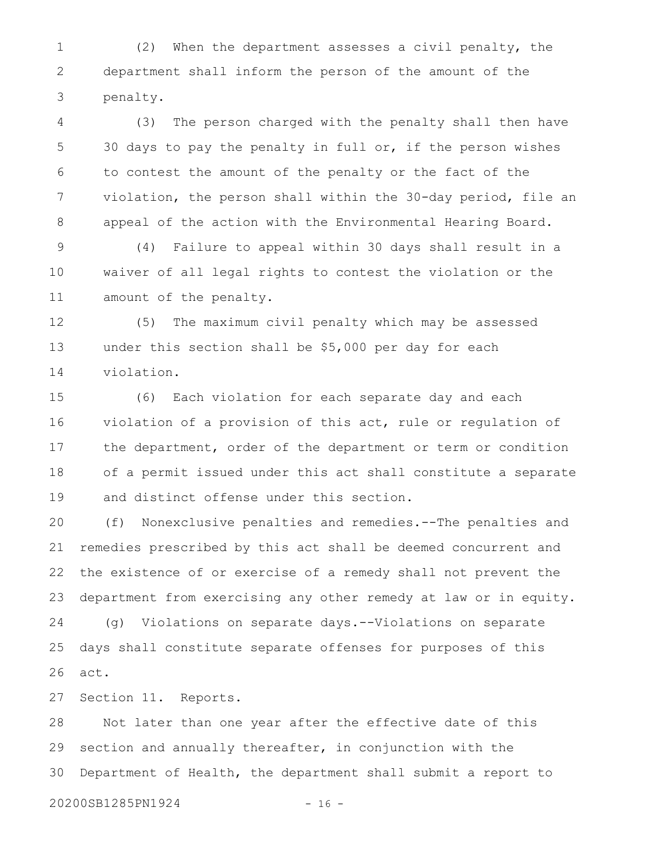(2) When the department assesses a civil penalty, the department shall inform the person of the amount of the penalty. 1 2 3

(3) The person charged with the penalty shall then have 30 days to pay the penalty in full or, if the person wishes to contest the amount of the penalty or the fact of the violation, the person shall within the 30-day period, file an appeal of the action with the Environmental Hearing Board. 4 5 6 7 8

(4) Failure to appeal within 30 days shall result in a waiver of all legal rights to contest the violation or the amount of the penalty. 9 10 11

(5) The maximum civil penalty which may be assessed under this section shall be \$5,000 per day for each violation. 12 13 14

(6) Each violation for each separate day and each violation of a provision of this act, rule or regulation of the department, order of the department or term or condition of a permit issued under this act shall constitute a separate and distinct offense under this section. 15 16 17 18 19

(f) Nonexclusive penalties and remedies.--The penalties and remedies prescribed by this act shall be deemed concurrent and the existence of or exercise of a remedy shall not prevent the department from exercising any other remedy at law or in equity. (g) Violations on separate days.--Violations on separate days shall constitute separate offenses for purposes of this act. 20 21 22 23 24 25 26

Section 11. Reports. 27

Not later than one year after the effective date of this section and annually thereafter, in conjunction with the Department of Health, the department shall submit a report to 28 29 30

20200SB1285PN1924 - 16 -